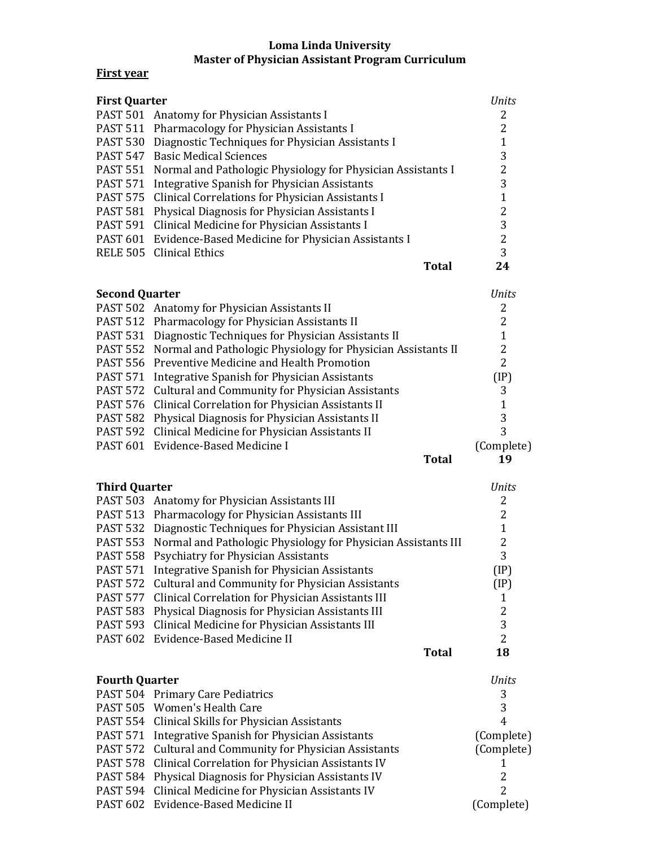## **Loma Linda University Master of Physician Assistant Program Curriculum**

## **First year**

| <b>First Quarter</b> |                                                                             | Units |
|----------------------|-----------------------------------------------------------------------------|-------|
|                      | PAST 501 Anatomy for Physician Assistants I                                 |       |
|                      | PAST 511 Pharmacology for Physician Assistants I                            |       |
| <b>PAST 530</b>      | Diagnostic Techniques for Physician Assistants I                            |       |
|                      | <b>PAST 547</b> Basic Medical Sciences                                      | 3     |
|                      | <b>PAST 551</b> Normal and Pathologic Physiology for Physician Assistants I | 2     |
| <b>PAST 571</b>      | Integrative Spanish for Physician Assistants                                | 3     |
|                      | PAST 575 Clinical Correlations for Physician Assistants I                   |       |
| <b>PAST 581</b>      | Physical Diagnosis for Physician Assistants I                               | 2     |
|                      | PAST 591 Clinical Medicine for Physician Assistants I                       | 3     |
|                      | PAST 601 Evidence-Based Medicine for Physician Assistants I                 | 2     |
|                      | RELE 505 Clinical Ethics                                                    | 3     |
|                      | Total                                                                       | 24    |

| <b>Units</b> |
|--------------|
| 2            |
| 2            |
| 1            |
| 2            |
| 2            |
| (IP)         |
| 3            |
| 1            |
| 3            |
| 3            |
| (Complete)   |
| 19           |
|              |

| <b>Third Quarter</b> |                                                                        | <i>Ilnits</i> |
|----------------------|------------------------------------------------------------------------|---------------|
|                      | PAST 503 Anatomy for Physician Assistants III                          | 2             |
|                      | PAST 513 Pharmacology for Physician Assistants III                     |               |
|                      | PAST 532 Diagnostic Techniques for Physician Assistant III             |               |
|                      | PAST 553 Normal and Pathologic Physiology for Physician Assistants III |               |
|                      | PAST 558 Psychiatry for Physician Assistants                           | 3             |
|                      | PAST 571 Integrative Spanish for Physician Assistants                  | (IP)          |
|                      | PAST 572 Cultural and Community for Physician Assistants               | (IP)          |
|                      | PAST 577 Clinical Correlation for Physician Assistants III             |               |
|                      | PAST 583 Physical Diagnosis for Physician Assistants III               | 2             |
|                      | PAST 593 Clinical Medicine for Physician Assistants III                | 3             |
|                      | PAST 602 Evidence-Based Medicine II                                    | 2             |
|                      | Total                                                                  |               |

| <b>Fourth Quarter</b> |                                                           | Units      |
|-----------------------|-----------------------------------------------------------|------------|
|                       | PAST 504 Primary Care Pediatrics                          | 3          |
|                       | PAST 505 Women's Health Care                              | 3          |
|                       | PAST 554 Clinical Skills for Physician Assistants         | 4          |
|                       | PAST 571 Integrative Spanish for Physician Assistants     | (Complete) |
|                       | PAST 572 Cultural and Community for Physician Assistants  | (Complete) |
|                       | PAST 578 Clinical Correlation for Physician Assistants IV |            |
|                       | PAST 584 Physical Diagnosis for Physician Assistants IV   | 2          |
|                       | PAST 594 Clinical Medicine for Physician Assistants IV    | 2          |
|                       | PAST 602 Evidence-Based Medicine II                       | (Complete) |